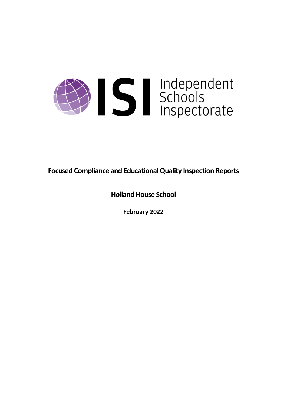

**Focused Compliance and EducationalQuality Inspection Reports**

**Holland House School**

**February 2022**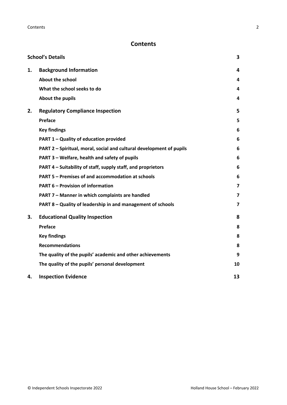# **Contents**

|    | <b>School's Details</b>                                              | 3                       |
|----|----------------------------------------------------------------------|-------------------------|
| 1. | <b>Background Information</b>                                        | 4                       |
|    | <b>About the school</b>                                              | 4                       |
|    | What the school seeks to do                                          | 4                       |
|    | About the pupils                                                     | 4                       |
| 2. | <b>Regulatory Compliance Inspection</b>                              | 5                       |
|    | Preface                                                              | 5                       |
|    | <b>Key findings</b>                                                  | 6                       |
|    | PART 1 - Quality of education provided                               | 6                       |
|    | PART 2 - Spiritual, moral, social and cultural development of pupils | 6                       |
|    | PART 3 - Welfare, health and safety of pupils                        | 6                       |
|    | PART 4 – Suitability of staff, supply staff, and proprietors         | 6                       |
|    | PART 5 - Premises of and accommodation at schools                    | 6                       |
|    | <b>PART 6 - Provision of information</b>                             | $\overline{\mathbf{z}}$ |
|    | PART 7 - Manner in which complaints are handled                      | $\overline{7}$          |
|    | PART 8 - Quality of leadership in and management of schools          | $\overline{\mathbf{z}}$ |
| 3. | <b>Educational Quality Inspection</b>                                | 8                       |
|    | Preface                                                              | 8                       |
|    | <b>Key findings</b>                                                  | 8                       |
|    | <b>Recommendations</b>                                               | 8                       |
|    | The quality of the pupils' academic and other achievements           | 9                       |
|    | The quality of the pupils' personal development                      | 10                      |
| 4. | <b>Inspection Evidence</b>                                           | 13                      |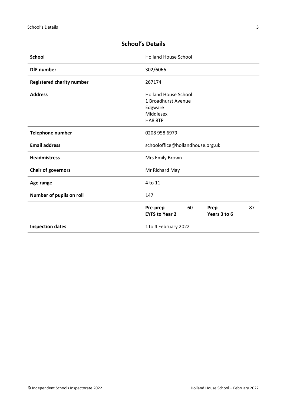| <b>Holland House School</b>           |
|---------------------------------------|
| 302/6066                              |
| 267174                                |
| <b>Holland House School</b>           |
| 1 Broadhurst Avenue                   |
| Edgware                               |
| Middlesex                             |
| HA8 8TP                               |
| 0208 958 6979                         |
| schooloffice@hollandhouse.org.uk      |
| Mrs Emily Brown                       |
| Mr Richard May                        |
| 4 to 11                               |
| 147                                   |
| 60<br>87<br>Pre-prep<br>Prep          |
| Years 3 to 6<br><b>EYFS to Year 2</b> |
| 1 to 4 February 2022                  |
|                                       |

# <span id="page-2-0"></span>**School's Details**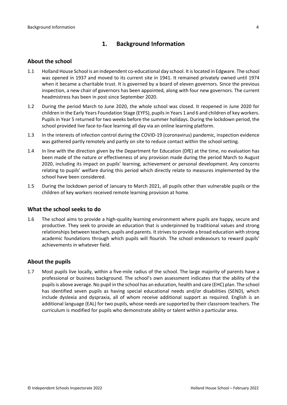# <span id="page-3-0"></span>**1. Background Information**

#### <span id="page-3-1"></span>**About the school**

- 1.1 Holland House School is an independent co-educational day school. It islocated in Edgware. The school was opened in 1937 and moved to its current site in 1941. It remained privately owned until 1974 when it became a charitable trust. It is governed by a board of eleven governors. Since the previous inspection, a new chair of governors has been appointed, along with four new governors. The current headmistress has been in post since September 2020.
- 1.2 During the period March to June 2020, the whole school was closed. It reopened in June 2020 for children in the Early Years Foundation Stage (EYFS), pupilsin Years 1 and 6 and children of key workers. Pupils in Year 5 returned for two weeks before the summer holidays. During the lockdown period, the school provided live face-to-face learning all day via an online learning platform.
- 1.3 In the interests of infection control during the COVID-19 (coronavirus) pandemic, inspection evidence was gathered partly remotely and partly on site to reduce contact within the school setting.
- 1.4 In line with the direction given by the Department for Education (DfE) at the time, no evaluation has been made of the nature or effectiveness of any provision made during the period March to August 2020, including its impact on pupils' learning, achievement or personal development. Any concerns relating to pupils' welfare during this period which directly relate to measures implemented by the school have been considered.
- 1.5 During the lockdown period of January to March 2021, all pupils other than vulnerable pupils or the children of key workers received remote learning provision at home.

#### <span id="page-3-2"></span>**What the school seeks to do**

1.6 The school aims to provide a high-quality learning environment where pupils are happy, secure and productive. They seek to provide an education that is underpinned by traditional values and strong relationships between teachers, pupils and parents. It strives to provide a broad education with strong academic foundations through which pupils will flourish. The school endeavours to reward pupils' achievements in whatever field.

### <span id="page-3-3"></span>**About the pupils**

1.7 Most pupils live locally, within a five-mile radius of the school. The large majority of parents have a professional or business background. The school's own assessment indicates that the ability of the pupilsis above average. No pupil in the school has an education, health and care (EHC) plan. The school has identified seven pupils as having special educational needs and/or disabilities (SEND), which include dyslexia and dyspraxia, all of whom receive additional support as required. English is an additional language (EAL) for two pupils, whose needs are supported by their classroom teachers. The curriculum is modified for pupils who demonstrate ability or talent within a particular area.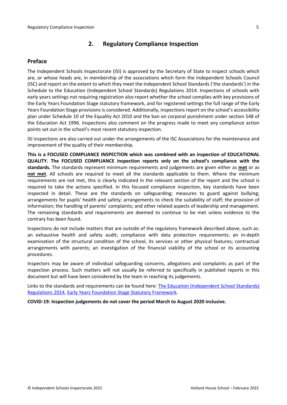# <span id="page-4-0"></span>**2. Regulatory Compliance Inspection**

### <span id="page-4-1"></span>**Preface**

The Independent Schools Inspectorate (ISI) is approved by the Secretary of State to inspect schools which are, or whose heads are, in membership of the associations which form the Independent Schools Council (ISC) and report on the extent to which they meet the Independent School Standards ('the standards') in the Schedule to the Education (Independent School Standards) Regulations 2014. Inspections of schools with early years settings not requiring registration also report whether the school complies with key provisions of the Early Years Foundation Stage statutory framework, and for registered settings the full range of the Early Years Foundation Stage provisions is considered. Additionally, inspections report on the school's accessibility plan under Schedule 10 of the Equality Act 2010 and the ban on corporal punishment under section 548 of the Education Act 1996. Inspections also comment on the progress made to meet any compliance action points set out in the school's most recent statutory inspection.

ISI inspections are also carried out under the arrangements of the ISC Associations for the maintenance and improvement of the quality of their membership.

**This is a FOCUSED COMPLIANCE INSPECTION which was combined with an inspection of EDUCATIONAL QUALITY. The FOCUSED COMPLIANCE inspection reports only on the school's compliance with the standards.** The standards represent minimum requirements and judgements are given either as **met** or as **not met**. All schools are required to meet all the standards applicable to them. Where the minimum requirements are not met, this is clearly indicated in the relevant section of the report and the school is required to take the actions specified. In this focused compliance inspection, key standards have been inspected in detail. These are the standards on safeguarding; measures to guard against bullying; arrangements for pupils' health and safety; arrangements to check the suitability of staff; the provision of information; the handling of parents' complaints; and other related aspects of leadership and management. The remaining standards and requirements are deemed to continue to be met unless evidence to the contrary has been found.

Inspections do not include matters that are outside of the regulatory framework described above, such as: an exhaustive health and safety audit; compliance with data protection requirements; an in-depth examination of the structural condition of the school, its services or other physical features; contractual arrangements with parents; an investigation of the financial viability of the school or its accounting procedures.

Inspectors may be aware of individual safeguarding concerns, allegations and complaints as part of the inspection process. Such matters will not usually be referred to specifically in published reports in this document but will have been considered by the team in reaching its judgements.

Links to the standards and requirements can be found here: The Education [\(Independent](http://www.legislation.gov.uk/uksi/2014/3283/contents/made) School Standards) [Regulations](http://www.legislation.gov.uk/uksi/2014/3283/contents/made) 2014, Early Years Foundation Stage Statutory [Framework.](https://www.gov.uk/government/publications/early-years-foundation-stage-framework--2)

**COVID-19: Inspection judgements do not cover the period March to August 2020 inclusive.**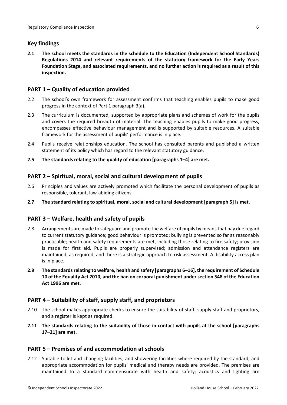## <span id="page-5-0"></span>**Key findings**

**2.1 The school meets the standards in the schedule to the Education (Independent School Standards) Regulations 2014 and relevant requirements of the statutory framework for the Early Years Foundation Stage, and associated requirements, and no further action is required as a result of this inspection.**

## <span id="page-5-1"></span>**PART 1 – Quality of education provided**

- 2.2 The school's own framework for assessment confirms that teaching enables pupils to make good progress in the context of Part 1 paragraph 3(a).
- 2.3 The curriculum is documented, supported by appropriate plans and schemes of work for the pupils and covers the required breadth of material. The teaching enables pupils to make good progress, encompasses effective behaviour management and is supported by suitable resources. A suitable framework for the assessment of pupils' performance is in place.
- 2.4 Pupils receive relationships education. The school has consulted parents and published a written statement of its policy which has regard to the relevant statutory guidance.
- **2.5 The standards relating to the quality of education [paragraphs 1–4] are met.**

## <span id="page-5-2"></span>**PART 2 – Spiritual, moral, social and cultural development of pupils**

- 2.6 Principles and values are actively promoted which facilitate the personal development of pupils as responsible, tolerant, law-abiding citizens.
- **2.7 The standard relating to spiritual, moral, social and cultural development [paragraph 5] is met.**

### <span id="page-5-3"></span>**PART 3 – Welfare, health and safety of pupils**

- 2.8 Arrangements are made to safeguard and promote the welfare of pupils by means that pay due regard to current statutory guidance; good behaviour is promoted; bullying is prevented so far as reasonably practicable; health and safety requirements are met, including those relating to fire safety; provision is made for first aid. Pupils are properly supervised; admission and attendance registers are maintained, as required, and there is a strategic approach to risk assessment. A disability access plan is in place.
- **2.9 The standardsrelating to welfare, health and safety [paragraphs 6–16], the requirement of Schedule 10 of the Equality Act 2010, and the ban on corporal punishment undersection 548 of the Education Act 1996 are met.**

### <span id="page-5-4"></span>**PART 4 – Suitability of staff, supply staff, and proprietors**

- 2.10 The school makes appropriate checks to ensure the suitability of staff, supply staff and proprietors, and a register is kept as required.
- **2.11 The standards relating to the suitability of those in contact with pupils at the school [paragraphs 17–21] are met.**

### <span id="page-5-5"></span>**PART 5 – Premises of and accommodation at schools**

2.12 Suitable toilet and changing facilities, and showering facilities where required by the standard, and appropriate accommodation for pupils' medical and therapy needs are provided. The premises are maintained to a standard commensurate with health and safety; acoustics and lighting are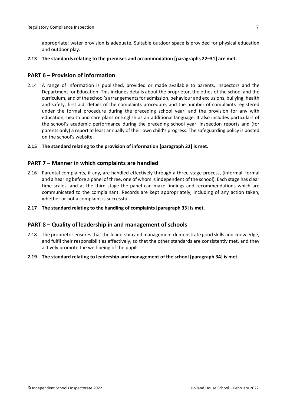appropriate; water provision is adequate. Suitable outdoor space is provided for physical education and outdoor play.

**2.13 The standards relating to the premises and accommodation [paragraphs 22–31] are met.**

#### <span id="page-6-0"></span>**PART 6 – Provision of information**

- 2.14 A range of information is published, provided or made available to parents, inspectors and the Department for Education. This includes details about the proprietor, the ethos of the school and the curriculum, and of the school's arrangementsfor admission, behaviour and exclusions, bullying, health and safety, first aid, details of the complaints procedure, and the number of complaints registered under the formal procedure during the preceding school year, and the provision for any with education, health and care plans or English as an additional language. It also includes particulars of the school's academic performance during the preceding school year, inspection reports and (for parents only) a report at least annually of their own child's progress. The safeguarding policy is posted on the school's website.
- **2.15 The standard relating to the provision of information [paragraph 32] is met.**

#### <span id="page-6-1"></span>**PART 7 – Manner in which complaints are handled**

- 2.16 Parental complaints, if any, are handled effectively through a three-stage process, (informal, formal and a hearing before a panel of three, one of whom isindependent of the school). Each stage has clear time scales, and at the third stage the panel can make findings and recommendations which are communicated to the complainant. Records are kept appropriately, including of any action taken, whether or not a complaint is successful.
- **2.17 The standard relating to the handling of complaints [paragraph 33] is met.**

#### <span id="page-6-2"></span>**PART 8 – Quality of leadership in and management of schools**

- 2.18 The proprietor ensures that the leadership and management demonstrate good skills and knowledge, and fulfil their responsibilities effectively, so that the other standards are consistently met, and they actively promote the well-being of the pupils.
- **2.19 The standard relating to leadership and management of the school [paragraph 34] is met.**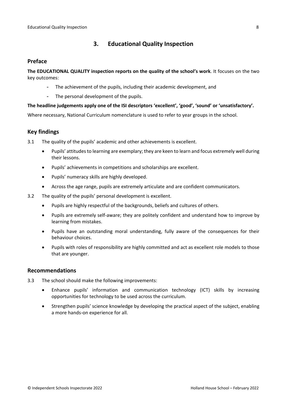# <span id="page-7-0"></span>**3. Educational Quality Inspection**

### <span id="page-7-1"></span>**Preface**

**The EDUCATIONAL QUALITY inspection reports on the quality of the school's work**. It focuses on the two key outcomes:

- The achievement of the pupils, including their academic development, and
- The personal development of the pupils.

#### **The headline judgements apply one of the ISI descriptors 'excellent', 'good', 'sound' or 'unsatisfactory'.**

Where necessary, National Curriculum nomenclature is used to refer to year groups in the school.

# <span id="page-7-2"></span>**Key findings**

- 3.1 The quality of the pupils' academic and other achievements is excellent.
	- Pupils' attitudesto learning are exemplary; they are keen to learn and focus extremely well during their lessons.
	- Pupils' achievements in competitions and scholarships are excellent.
	- Pupils' numeracy skills are highly developed.
	- Across the age range, pupils are extremely articulate and are confident communicators.
- 3.2 The quality of the pupils' personal development is excellent.
	- Pupils are highly respectful of the backgrounds, beliefs and cultures of others.
	- Pupils are extremely self-aware; they are politely confident and understand how to improve by learning from mistakes.
	- Pupils have an outstanding moral understanding, fully aware of the consequences for their behaviour choices.
	- Pupils with roles of responsibility are highly committed and act as excellent role models to those that are younger.

#### <span id="page-7-3"></span>**Recommendations**

- 3.3 The school should make the following improvements:
	- Enhance pupils' information and communication technology (ICT) skills by increasing opportunities for technology to be used across the curriculum.
	- Strengthen pupils' science knowledge by developing the practical aspect of the subject, enabling a more hands-on experience for all.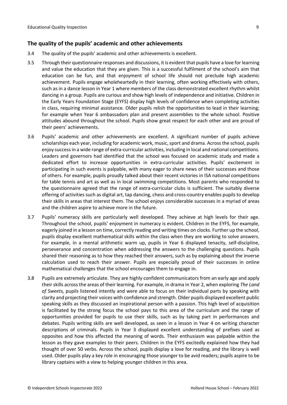### <span id="page-8-0"></span>**The quality of the pupils' academic and other achievements**

- 3.4 The quality of the pupils' academic and other achievements is excellent.
- 3.5 Through their questionnaire responses and discussions, it is evident that pupils have a love for learning and value the education that they are given. This is a successful fulfilment of the school's aim that education can be fun, and that enjoyment of school life should not preclude high academic achievement. Pupils engage wholeheartedly in their learning, often working effectively with others, such as in a dance lesson in Year 1 where members of the class demonstrated excellent rhythm whilst dancing in a group. Pupils are curious and show high levels of independence and initiative. Children in the Early Years Foundation Stage (EYFS) display high levels of confidence when completing activities in class, requiring minimal assistance. Older pupils relish the opportunities to lead in their learning; for example when Year 6 ambassadors plan and present assemblies to the whole school. Positive attitudes abound throughout the school. Pupils show great respect for each other and are proud of their peers' achievements.
- 3.6 Pupils' academic and other achievements are excellent. A significant number of pupils achieve scholarships each year, including for academic work, music, sport and drama. Across the school, pupils enjoy successin a wide range of extra-curricular activities, including in local and national competitions. Leaders and governors had identified that the school was focused on academic study and made a dedicated effort to increase opportunities in extra-curricular activities. Pupils' excitement in participating in such events is palpable, with many eager to share news of their successes and those of others. For example, pupils proudly talked about their recent victories in ISA national competitions for table tennis and art as well as in local swimming competitions. Most parents who responded to the questionnaire agreed that the range of extra-curricular clubs is sufficient. The suitably diverse offering of activities such as digital art, tap dancing, chess and cross-country enables pupils to develop their skills in areas that interest them. The school enjoys considerable successes in a myriad of areas and the children aspire to achieve more in the future.
- 3.7 Pupils' numeracy skills are particularly well developed. They achieve at high levels for their age. Throughout the school, pupils' enjoyment in numeracy is evident. Children in the EYFS, for example, eagerly joined in a lesson on time, correctly reading and writing times on clocks. Further up the school, pupils display excellent mathematical skills within the class when they are working to solve answers. For example, in a mental arithmetic warm up, pupils in Year 6 displayed tenacity, self-discipline, perseverance and concentration when addressing the answers to the challenging questions. Pupils shared their reasoning as to how they reached their answers, such as by explaining about the inverse calculation used to reach their answer. Pupils are especially proud of their successes in online mathematical challenges that the school encourages them to engage in.
- 3.8 Pupils are extremely articulate. They are highly confident communicators from an early age and apply their skills across the areas of their learning. For example, in drama in Year 2, when exploring *The Land of Sweets,* pupils listened intently and were able to focus on their individual parts by speaking with clarity and projecting their voices with confidence and strength. Older pupils displayed excellent public speaking skills as they discussed an inspirational person with a passion. This high level of acquisition is facilitated by the strong focus the school pays to this area of the curriculum and the range of opportunities provided for pupils to use their skills, such as by taking part in performances and debates. Pupils writing skills are well developed, as seen in a lesson in Year 4 on writing character descriptions of criminals. Pupils in Year 3 displayed excellent understanding of prefixes used as opposites and how this affected the meaning of words. Their enthusiasm was palpable within the lesson as they gave examples to their peers. Children in the EYFS excitedly explained how they had thought of over 50 verbs. Across the school, pupils display a love for reading, and the library is well used. Older pupils play a key role in encouraging those younger to be avid readers; pupils aspire to be library captains with a view to helping younger children in this area.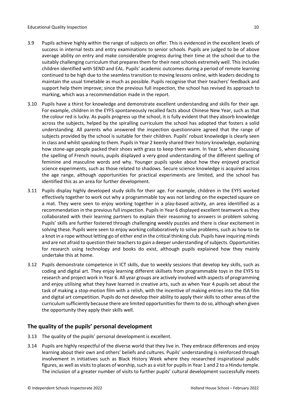- 3.9 Pupils achieve highly within the range of subjects on offer. This is evidenced in the excellent levels of success in internal tests and entry examinations to senior schools. Pupils are judged to be of above average ability on entry and make considerable progress during their time at the school due to the suitably challenging curriculum that prepares them for their next schools extremely well. This includes children identified with SEND and EAL. Pupils' academic outcomes during a period of remote learning continued to be high due to the seamless transition to moving lessons online, with leaders deciding to maintain the usual timetable as much as possible. Pupils recognise that their teachers' feedback and support help them improve; since the previous full inspection, the school has revised its approach to marking, which was a recommendation made in the report.
- 3.10 Pupils have a thirst for knowledge and demonstrate excellent understanding and skills for their age. For example, children in the EYFS spontaneously recalled facts about Chinese New Year, such as that the colour red is lucky. As pupils progress up the school, it is fully evident that they absorb knowledge across the subjects, helped by the spiralling curriculum the school has adopted that fosters a solid understanding. All parents who answered the inspection questionnaire agreed that the range of subjects provided by the school is suitable for their children. Pupils' robust knowledge is clearly seen in class and whilst speaking to them. Pupils in Year 2 keenly shared their history knowledge, explaining how stone-age people packed their shoes with grass to keep them warm. In Year 5, when discussing the spelling of French nouns, pupils displayed a very good understanding of the different spelling of feminine and masculine words and why. Younger pupils spoke about how they enjoyed practical science experiments, such as those related to shadows. Secure science knowledge is acquired across the age range, although opportunities for practical experiments are limited, and the school has identified this as an area for further development.
- 3.11 Pupils display highly developed study skills for their age. For example, children in the EYFS worked effectively together to work out why a programmable toy was not landing on the expected square on a mat. They were seen to enjoy working together in a play-based activity, an area identified as a recommendation in the previous full inspection. Pupils in Year 6 displayed excellent teamwork as they collaborated with their learning partners to explain their reasoning to answers in problem solving. Pupils' skills are further fostered through challenging weekly puzzles and there is clear excitement in solving these. Pupils were seen to enjoy working collaboratively to solve problems, such as how to tie a knot in a rope without letting go of either end in the critical thinking club. Pupils have inquiring minds and are not afraid to question their teachers to gain a deeper understanding of subjects. Opportunities for research using technology and books do exist, although pupils explained how they mainly undertake this at home.
- 3.12 Pupils demonstrate competence in ICT skills, due to weekly sessions that develop key skills, such as coding and digital art. They enjoy learning different skillsets from programmable toys in the EYFS to research and project work in Year 6. All year groups are actively involved with aspects of programming and enjoy utilising what they have learned in creative arts, such as when Year 4 pupils set about the task of making a stop-motion film with a relish, with the incentive of making entries into the ISA film and digital art competition. Pupils do not develop their ability to apply their skills to other areas of the curriculum sufficiently because there are limited opportunitiesfor them to do so, although when given the opportunity they apply their skills well.

# <span id="page-9-0"></span>**The quality of the pupils' personal development**

- 3.13 The quality of the pupils' personal development is excellent.
- 3.14 Pupils are highly respectful of the diverse world that they live in. They embrace differences and enjoy learning about their own and others' beliefs and cultures. Pupils' understanding is reinforced through involvement in initiatives such as Black History Week where they researched inspirational public figures, as well as visits to places of worship, such as a visit for pupils in Year 1 and 2 to a Hindu temple. The inclusion of a greater number of visits to further pupils' cultural development successfully meets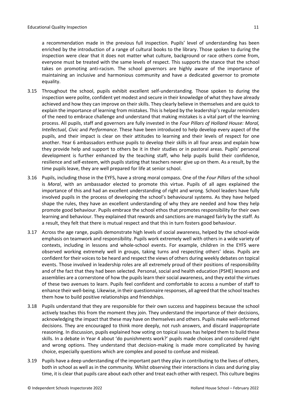a recommendation made in the previous full inspection. Pupils' level of understanding has been enriched by the introduction of a range of cultural books to the library. Those spoken to during the inspection were clear that it does not matter what culture, background or race others come from, everyone must be treated with the same levels of respect. This supports the stance that the school takes on promoting anti-racism. The school governors are highly aware of the importance of maintaining an inclusive and harmonious community and have a dedicated governor to promote equality.

- 3.15 Throughout the school, pupils exhibit excellent self-understanding. Those spoken to during the inspection were polite, confident yet modest and secure in their knowledge of what they have already achieved and how they can improve on their skills. They clearly believe in themselves and are quick to explain the importance of learning from mistakes. This is helped by the leadership's regular reminders of the need to embrace challenge and understand that making mistakes is a vital part of the learning process. All pupils, staff and governors are fully invested in the *Four Pillars of Holland House: Moral, Intellectual, Civic* and *Performance*. These have been introduced to help develop every aspect of the pupils, and their impact is clear on their attitudes to learning and their levels of respect for one another. Year 6 ambassadors enthuse pupils to develop their skills in all four areas and explain how they provide help and support to others be it in their studies or in pastoral areas. Pupils' personal development is further enhanced by the teaching staff, who help pupils build their confidence, resilience and self-esteem, with pupils stating that teachers never give up on them. As a result, by the time pupils leave, they are well prepared for life at senior school.
- 3.16 Pupils, including those in the EYFS, have a strong moral compass. One of the *Four Pillars* of the school is *Moral*, with an ambassador elected to promote this virtue. Pupils of all ages explained the importance of this and had an excellent understanding of right and wrong. School leaders have fully involved pupils in the process of developing the school's behavioural systems. As they have helped shape the rules, they have an excellent understanding of why they are needed and how they help promote good behaviour. Pupils embrace the school ethos that promotes responsibility for their own learning and behaviour. They explained that rewards and sanctions are managed fairly by the staff. As a result, they felt that there is mutual respect and that this in turn fosters good behaviour.
- 3.17 Across the age range, pupils demonstrate high levels of social awareness, helped by the school-wide emphasis on teamwork and responsibility. Pupils work extremely well with others in a wide variety of contexts, including in lessons and whole-school events. For example, children in the EYFS were observed working extremely well in groups, taking turns and respecting others' ideas. Pupils are confident for their voicesto be heard and respect the views of others during weekly debates on topical events. Those involved in leadership roles are all extremely proud of their positions of responsibility and of the fact that they had been selected. Personal, social and health education (PSHE) lessons and assemblies are a cornerstone of how the pupils learn their social awareness, and they extol the virtues of these two avenues to learn. Pupils feel confident and comfortable to access a number of staff to enhance their well-being. Likewise, in their questionnaire responses, all agreed that the school teaches them how to build positive relationships and friendships.
- 3.18 Pupils understand that they are responsible for their own success and happiness because the school actively teaches this from the moment they join. They understand the importance of their decisions, acknowledging the impact that these may have on themselves and others. Pupils make well-informed decisions. They are encouraged to think more deeply, not rush answers, and discard inappropriate reasoning. In discussion, pupils explained how voting on topical issues has helped them to build these skills. In a debate in Year 4 about 'do punishments work?' pupils made choices and considered right and wrong options. They understand that decision-making is made more complicated by having choice, especially questions which are complex and posed to confuse and mislead.
- 3.19 Pupils have a deep understanding of the important part they play in contributing to the lives of others, both in school as well as in the community. Whilst observing their interactions in class and during play time, it is clear that pupils care about each other and treat each other with respect. This culture begins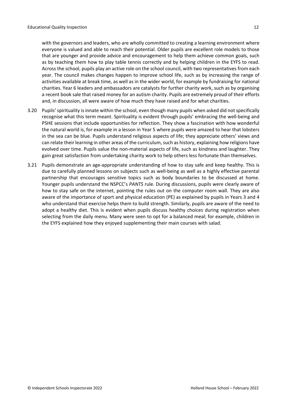with the governors and leaders, who are wholly committed to creating a learning environment where everyone is valued and able to reach their potential. Older pupils are excellent role models to those that are younger and provide advice and encouragement to help them achieve common goals, such as by teaching them how to play table tennis correctly and by helping children in the EYFS to read. Across the school, pupils play an active role on the school council, with two representatives from each year. The council makes changes happen to improve school life, such as by increasing the range of activities available at break time, as well as in the wider world, for example by fundraising for national charities. Year 6 leaders and ambassadors are catalysts for further charity work, such as by organising a recent book sale that raised money for an autism charity. Pupils are extremely proud of their efforts and, in discussion, all were aware of how much they have raised and for what charities.

- 3.20 Pupils' spirituality is innate within the school, even though many pupils when asked did not specifically recognise what this term meant. Spirituality is evident through pupils' embracing the well-being and PSHE sessions that include opportunities for reflection. They show a fascination with how wonderful the natural world is, for example in a lesson in Year 5 where pupils were amazed to hear that lobsters in the sea can be blue. Pupils understand religious aspects of life; they appreciate others' views and can relate their learning in other areas of the curriculum, such as history, explaining how religions have evolved over time. Pupils value the non-material aspects of life, such as kindness and laughter. They gain great satisfaction from undertaking charity work to help others less fortunate than themselves.
- 3.21 Pupils demonstrate an age-appropriate understanding of how to stay safe and keep healthy. This is due to carefully planned lessons on subjects such as well-being as well as a highly effective parental partnership that encourages sensitive topics such as body boundaries to be discussed at home. Younger pupils understand the NSPCC's *PANTS* rule. During discussions, pupils were clearly aware of how to stay safe on the internet, pointing the rules out on the computer room wall. They are also aware of the importance of sport and physical education (PE) as explained by pupils in Years 3 and 4 who understand that exercise helps them to build strength. Similarly, pupils are aware of the need to adopt a healthy diet. This is evident when pupils discuss healthy choices during registration when selecting from the daily menu. Many were seen to opt for a balanced meal; for example, children in the EYFS explained how they enjoyed supplementing their main courses with salad.